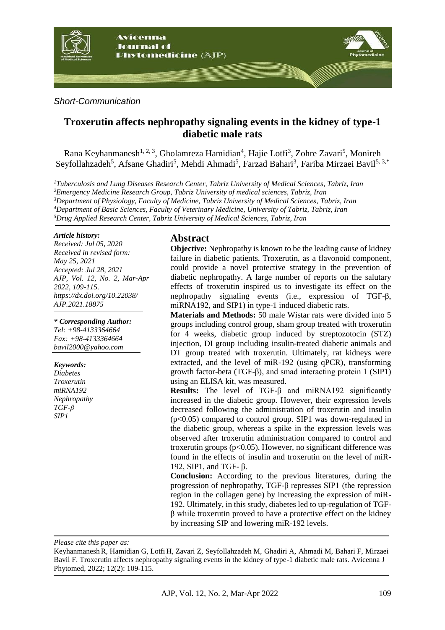

#### *Short-Communication*

# **Troxerutin affects nephropathy signaling events in the kidney of type-1 diabetic male rats**

Rana Keyhanmanesh<sup>1, 2, 3</sup>, Gholamreza Hamidian<sup>4</sup>, Hajie Lotfi<sup>3</sup>, Zohre Zavari<sup>5</sup>, Monireh Seyfollahzadeh<sup>5</sup>, Afsane Ghadiri<sup>5</sup>, Mehdi Ahmadi<sup>5</sup>, Farzad Bahari<sup>3</sup>, Fariba Mirzaei Bavil<sup>5, 3,\*</sup>

*Tuberculosis and Lung Diseases Research Center, Tabriz University of Medical Sciences, Tabriz, Iran Emergency Medicine Research Group, Tabriz University of medical sciences, Tabriz, Iran Department of Physiology, Faculty of Medicine, Tabriz University of Medical Sciences, Tabriz, Iran Department of Basic Sciences, Faculty of Veterinary Medicine, University of Tabriz, Tabriz, Iran Drug Applied Research Center, Tabriz University of Medical Sciences, Tabriz, Iran*

#### *Article history:*

*Received: Jul 05, 2020 Received in revised form: May 25, 2021 Accepted: Jul 28, 2021 AJP, Vol. 12, No. 2, Mar-Apr 2022, 109-115. https://dx.doi.org/10.22038/ AJP.2021.18875*

*\* Corresponding Author: Tel: +98-4133364664 Fax: +98-4133364664 bavil2000@yahoo.com*

#### *Keywords:*

*Diabetes Troxerutin miRNA192 Nephropathy TGF-β SIP1*

## **Abstract**

**Objective:** Nephropathy is known to be the leading cause of kidney failure in diabetic patients. Troxerutin, as a flavonoid component, could provide a novel protective strategy in the prevention of diabetic nephropathy. A large number of reports on the salutary effects of troxerutin inspired us to investigate its effect on the nephropathy signaling events (i.e., expression of TGF-β, miRNA192, and SIP1) in type-1 induced diabetic rats.

**Materials and Methods:** 50 male Wistar rats were divided into 5 groups including control group, sham group treated with troxerutin for 4 weeks, diabetic group induced by streptozotocin (STZ) injection, DI group including insulin-treated diabetic animals and DT group treated with troxerutin. Ultimately, rat kidneys were extracted, and the level of miR-192 (using qPCR), transforming growth factor-beta (TGF-β), and smad interacting protein 1 (SIP1) using an ELISA kit, was measured.

**Results:** The level of TGF-β and miRNA192 significantly increased in the diabetic group. However, their expression levels decreased following the administration of troxerutin and insulin (p<0.05) compared to control group. SIP1 was down-regulated in the diabetic group, whereas a spike in the expression levels was observed after troxerutin administration compared to control and troxerutin groups ( $p<0.05$ ). However, no significant difference was found in the effects of insulin and troxerutin on the level of miR-192, SIP1, and TGF- β.

**Conclusion:** According to the previous literatures, during the progression of nephropathy, TGF-β represses SIP1 (the repression region in the collagen gene) by increasing the expression of miR-192. Ultimately, in this study, diabetes led to up-regulation of TGFβ while troxerutin proved to have a protective effect on the kidney by increasing SIP and lowering miR-192 levels.

*Please cite this paper as:* 

KeyhanmaneshR, Hamidian G, Lotfi H, Zavari Z, Seyfollahzadeh M, Ghadiri A, Ahmadi M, Bahari F, Mirzaei Bavil F. Troxerutin affects nephropathy signaling events in the kidney of type-1 diabetic male rats. Avicenna J Phytomed, 2022; 12(2): 109-115.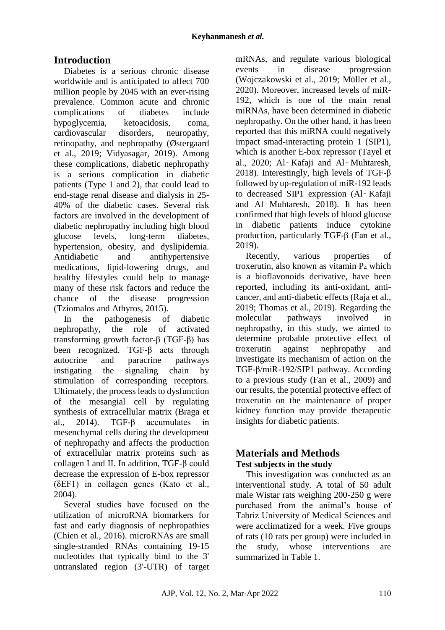# **Introduction**

Diabetes is a serious chronic disease worldwide and is anticipated to affect 700 million people by 2045 with an ever-rising prevalence. Common acute and chronic complications of diabetes include hypoglycemia, ketoacidosis, coma, cardiovascular disorders, neuropathy, retinopathy, and nephropathy (Østergaard et al., 2019; Vidyasagar, 2019). Among these complications, diabetic nephropathy is a serious complication in diabetic patients (Type 1 and 2), that could lead to end-stage renal disease and dialysis in 25- 40% of the diabetic cases. Several risk factors are involved in the development of diabetic nephropathy including high blood glucose levels, long-term diabetes, hypertension, obesity, and dyslipidemia. Antidiabetic and antihypertensive medications, lipid-lowering drugs, and healthy lifestyles could help to manage many of these risk factors and reduce the chance of the disease progression (Tziomalos and Athyros, 2015).

In the pathogenesis of diabetic nephropathy, the role of activated transforming growth factor-β (TGF-β) has been recognized. TGF-β acts through autocrine and paracrine pathways instigating the signaling chain by stimulation of corresponding receptors. Ultimately, the process leads to dysfunction of the mesangial cell by regulating synthesis of extracellular matrix (Braga et al., 2014). TGF-β accumulates in mesenchymal cells during the development of nephropathy and affects the production of extracellular matrix proteins such as collagen I and II. In addition, TGF-β could decrease the expression of E-box repressor (δEF1) in collagen genes (Kato et al., 2004).

Several studies have focused on the utilization of microRNA biomarkers for fast and early diagnosis of nephropathies (Chien et al., 2016). microRNAs are small single-stranded RNAs containing 19-15 nucleotides that typically bind to the 3' untranslated region (3'-UTR) of target mRNAs, and regulate various biological events in disease progression (Wojczakowski et al., 2019; Müller et al., 2020). Moreover, increased levels of miR-192, which is one of the main renal miRNAs, have been determined in diabetic nephropathy. On the other hand, it has been reported that this miRNA could negatively impact smad-interacting protein 1 (SIP1), which is another E-box repressor (Tayel et al., 2020; Al‑ Kafaji and Al‑ Muhtaresh, 2018). Interestingly, high levels of TGF-β followed by up-regulation of miR-192 leads to decreased SIP1 expression (Al‑ Kafaji and Al‑ Muhtaresh, 2018). It has been confirmed that high levels of blood glucose in diabetic patients induce cytokine production, particularly TGF-β (Fan et al., 2019).

Recently, various properties of troxerutin, also known as vitamin  $P_4$  which is a bioflavonoids derivative, have been reported, including its anti-oxidant, anticancer, and anti-diabetic effects (Raja et al., 2019; Thomas et al., 2019). Regarding the molecular pathways involved in nephropathy, in this study, we aimed to determine probable protective effect of troxerutin against nephropathy and investigate its mechanism of action on the TGF-β/miR-192/SIP1 pathway. According to a previous study (Fan et al., 2009) and our results, the potential protective effect of troxerutin on the maintenance of proper kidney function may provide therapeutic insights for diabetic patients.

# **Materials and Methods Test subjects in the study**

This investigation was conducted as an interventional study. A total of 50 adult male Wistar rats weighing 200-250 g were purchased from the animal's house of Tabriz University of Medical Sciences and were acclimatized for a week. Five groups of rats (10 rats per group) were included in the study, whose interventions are summarized in Table 1.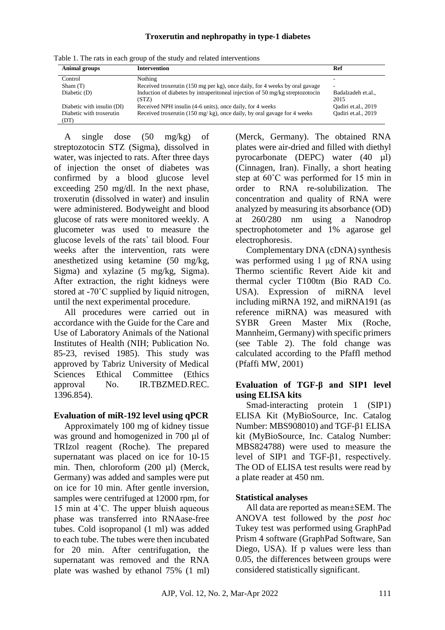#### **Troxerutin and nephropathy in type-1 diabetes**

| <b>Animal groups</b>             | <b>Intervention</b>                                                                    | Ref                      |  |
|----------------------------------|----------------------------------------------------------------------------------------|--------------------------|--|
| Control                          | Nothing                                                                                |                          |  |
| Sham(T)                          | Received troxerutin (150 mg per kg), once daily, for 4 weeks by oral gavage            | ۰                        |  |
| Diabetic (D)                     | Induction of diabetes by intraperitoneal injection of 50 mg/kg streptozotocin<br>(STZ) | Badalzadeh et.al<br>2015 |  |
| Diabetic with insulin (DI)       | Received NPH insulin (4-6 units), once daily, for 4 weeks                              | Oadiri et.al., 2019      |  |
| Diabetic with troxerutin<br>(DT) | Received troxerutin (150 mg/kg), once daily, by oral gavage for 4 weeks                | Oadiri et.al., 2019      |  |

Table 1. The rats in each group of the study and related interventions

A single dose (50 mg/kg) of streptozotocin STZ (Sigma), dissolved in water, was injected to rats. After three days of injection the onset of diabetes was confirmed by a blood glucose level exceeding 250 mg/dl. In the next phase, troxerutin (dissolved in water) and insulin were administered. Bodyweight and blood glucose of rats were monitored weekly. A glucometer was used to measure the glucose levels of the rats` tail blood. Four weeks after the intervention, rats were anesthetized using ketamine (50 mg/kg, Sigma) and xylazine (5 mg/kg, Sigma). After extraction, the right kidneys were stored at -70˚C supplied by liquid nitrogen, until the next experimental procedure.

All procedures were carried out in accordance with the Guide for the Care and Use of Laboratory Animals of the National Institutes of Health (NIH; Publication No. 85-23, revised 1985). This study was approved by Tabriz University of Medical Sciences Ethical Committee (Ethics approval No. IR.TBZMED.REC. 1396.854).

### **Evaluation of miR-192 level using qPCR**

Approximately 100 mg of kidney tissue was ground and homogenized in 700 µl of TRIzol reagent (Roche). The prepared supernatant was placed on ice for 10-15 min. Then, chloroform (200 µl) (Merck, Germany) was added and samples were put on ice for 10 min. After gentle inversion, samples were centrifuged at 12000 rpm, for 15 min at 4˚C. The upper bluish aqueous phase was transferred into RNAase-free tubes. Cold isopropanol (1 ml) was added to each tube. The tubes were then incubated for 20 min. After centrifugation, the supernatant was removed and the RNA plate was washed by ethanol 75% (1 ml)

(Merck, Germany). The obtained RNA plates were air-dried and filled with diethyl pyrocarbonate (DEPC) water (40 µl) (Cinnagen, Iran). Finally, a short heating step at 60˚C was performed for 15 min in order to RNA re-solubilization. The concentration and quality of RNA were analyzed by measuring its absorbance (OD) at 260/280 nm using a Nanodrop spectrophotometer and 1% agarose gel electrophoresis.

Complementary DNA (cDNA) synthesis was performed using 1 μg of RNA using Thermo scientific Revert Aide kit and thermal cycler T100tm (Bio RAD Co. USA). Expression of miRNA level including miRNA 192, and miRNA191 (as reference miRNA) was measured with SYBR Green Master Mix (Roche, Mannheim, Germany) with specific primers (see Table 2). The fold change was calculated according to the Pfaffl method (Pfaffi MW, 2001)

## **Evaluation of TGF-β and SIP1 level using ELISA kits**

Smad-interacting protein 1 (SIP1) ELISA Kit (MyBioSource, Inc. Catalog Number: MBS908010) and TGF-β1 ELISA kit (MyBioSource, Inc. Catalog Number: [MBS824788\)](https://www.mybiosource.com/tgfb1-rat-elisa-kits/tgf-beta-1/824788) were used to measure the level of SIP1 and TGF-β1, respectively. The OD of ELISA test results were read by a plate reader at 450 nm.

## **Statistical analyses**

All data are reported as mean±SEM. The ANOVA test followed by the *post hoc* Tukey test was performed using GraphPad Prism 4 software (GraphPad Software, San Diego, USA). If p values were less than 0.05, the differences between groups were considered statistically significant.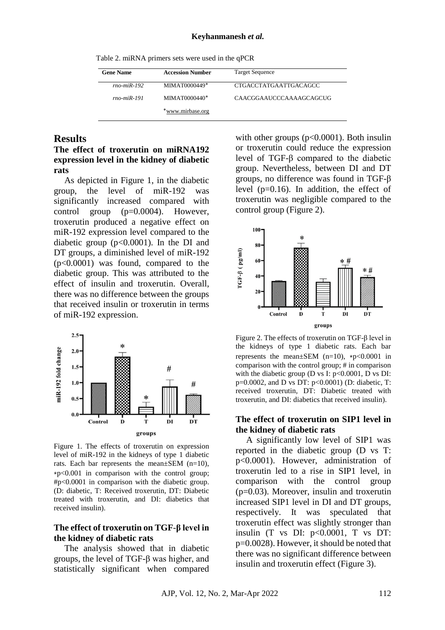Table 2. miRNA primers sets were used in the qPCR

| <b>Gene Name</b> | <b>Accession Number</b> | <b>Target Sequence</b>  |
|------------------|-------------------------|-------------------------|
| $rno-miR-192$    | MIMAT0000449*           | CTGACCTATGAATTGACAGCC   |
| $rno-miR-191$    | MIMAT0000440*           | CAACGGAAUCCCAAAAGCAGCUG |
|                  | *www.mirbase.org        |                         |

## **Results**

#### **The effect of troxerutin on miRNA192 expression level in the kidney of diabetic rats**

As depicted in Figure 1, in the diabetic group, the level of miR-192 was significantly increased compared with control group (p=0.0004). However, troxerutin produced a negative effect on miR-192 expression level compared to the diabetic group (p<0.0001). In the DI and DT groups, a diminished level of miR-192 (p<0.0001) was found, compared to the diabetic group. This was attributed to the effect of insulin and troxerutin. Overall, there was no difference between the groups that received insulin or troxerutin in terms of miR-192 expression.



Figure 1. The effects of [troxerutin](https://www.sciencedirect.com/topics/medicine-and-dentistry/troxerutin) on expression level of miR-192 in the kidneys of type 1 diabetic rats. Each bar represents the mean $\pm$ SEM (n=10), ⁎p<0.001 in comparison with the control group; #p<0.0001 in comparison with the diabetic group. (D: diabetic, T: Received troxerutin, DT: Diabetic treated with troxerutin, and DI: diabetics that received insulin).

### **The effect of troxerutin on TGF**-**β level in the kidney of diabetic rats**

The analysis showed that in diabetic groups, the level of TGF-β was higher, and statistically significant when compared with other groups  $(p<0.0001)$ . Both insulin or troxerutin could reduce the expression level of TGF-β compared to the diabetic group. Nevertheless, between DI and DT groups, no difference was found in TGF-β level (p=0.16). In addition, the effect of troxerutin was negligible compared to the control group (Figure 2).



Figure 2. The effects o[f troxerutin](https://www.sciencedirect.com/topics/medicine-and-dentistry/troxerutin) on TGF-β level in the kidneys of type 1 diabetic rats. Each bar represents the mean $\pm$ SEM (n=10),  $\ast$ p<0.0001 in comparison with the control group; # in comparison with the diabetic group (D vs I:  $p<0.0001$ , D vs DI: p=0.0002, and D vs DT: p<0.0001) (D: diabetic, T: received troxerutin, DT: Diabetic treated with troxerutin, and DI: diabetics that received insulin).

#### **The effect of troxerutin on SIP1 level in the kidney of diabetic rats**

A significantly low level of SIP1 was reported in the diabetic group (D vs T: p<0.0001). However, administration of troxerutin led to a rise in SIP1 level, in comparison with the control group (p=0.03). Moreover, insulin and troxerutin increased SIP1 level in DI and DT groups, respectively. It was speculated that troxerutin effect was slightly stronger than insulin  $(T \text{ vs } DI: p<0.0001, T \text{ vs } DT:$ p=0.0028). However, it should be noted that there was no significant difference between insulin and troxerutin effect (Figure 3).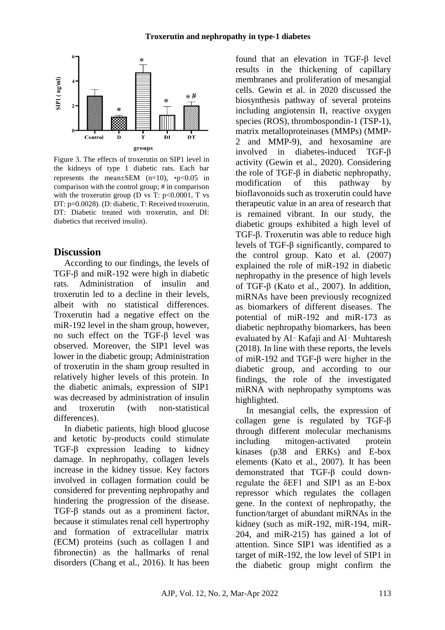

Figure 3. The effects of [troxerutin](https://www.sciencedirect.com/topics/medicine-and-dentistry/troxerutin) on SIP1 level in the kidneys of type 1 diabetic rats. Each bar represents the mean $\pm$ SEM (n=10),  $\star$ p<0.05 in comparison with the control group; # in comparison with the troxerutin group (D vs T:  $p<0.0001$ , T vs DT: p=0.0028). (D: diabetic, T: Received troxerutin, DT: Diabetic treated with troxerutin, and DI: diabetics that received insulin).

## **Discussion**

According to our findings, the levels of TGF-β and miR-192 were high in diabetic rats. Administration of insulin and troxerutin led to a decline in their levels, albeit with no statistical differences. Troxerutin had a negative effect on the miR-192 level in the sham group, however, no such effect on the TGF-β level was observed. Moreover, the SIP1 level was lower in the diabetic group; Administration of troxerutin in the sham group resulted in relatively higher levels of this protein. In the diabetic animals, expression of SIP1 was decreased by administration of insulin and troxerutin (with non-statistical differences).

In diabetic patients, high blood glucose and ketotic by-products could stimulate TGF-β expression leading to kidney damage. In nephropathy, collagen levels increase in the kidney tissue. Key factors involved in collagen formation could be considered for preventing nephropathy and hindering the progression of the disease. TGF-β stands out as a prominent factor, because it stimulates renal cell hypertrophy and formation of extracellular matrix (ECM) proteins (such as collagen I and fibronectin) as the hallmarks of renal disorders (Chang et al., 2016). It has been found that an elevation in TGF-β level results in the thickening of capillary membranes and proliferation of mesangial cells. Gewin et al. in 2020 discussed the biosynthesis pathway of several proteins including angiotensin II, reactive oxygen species (ROS), thrombospondin-1 (TSP-1), matrix metalloproteinases (MMPs) (MMP-2 and MMP-9), and hexosamine are involved in diabetes-induced TGF-β activity (Gewin et al., 2020). Considering the role of TGF-β in diabetic nephropathy, modification of this pathway by bioflavonoids such as troxerutin could have therapeutic value in an area of research that is remained vibrant. In our study, the diabetic groups exhibited a high level of TGF-β. Troxerutin was able to reduce high levels of TGF-β significantly, compared to the control group. Kato et al. (2007) explained the role of miR-192 in diabetic nephropathy in the presence of high levels of TGF-β (Kato et al., 2007). In addition, miRNAs have been previously recognized as biomarkers of different diseases. The potential of miR-192 and miR-173 as diabetic nephropathy biomarkers, has been evaluated by Al‑ Kafaji and Al‑ Muhtaresh (2018). In line with these reports, the levels of miR-192 and TGF-β were higher in the diabetic group, and according to our findings, the role of the investigated miRNA with nephropathy symptoms was highlighted.

In mesangial cells, the expression of collagen gene is regulated by TGF-β through different molecular mechanisms including mitogen-activated protein kinases (p38 and ERKs) and E-box elements (Kato et al., 2007). It has been demonstrated that TGF-β could downregulate the δEF1 and SIP1 as an E-box repressor which regulates the collagen gene. In the context of nephropathy, the function/target of abundant miRNAs in the kidney (such as miR-192, miR-194, miR-204, and miR-215) has gained a lot of attention. Since SIP1 was identified as a target of miR-192, the low level of SIP1 in the diabetic group might confirm the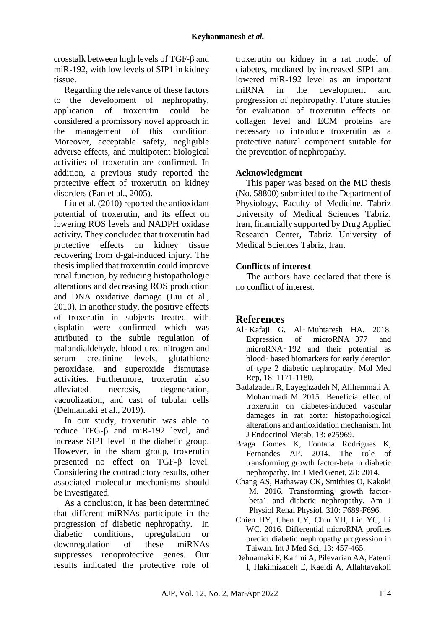crosstalk between high levels of TGF-β and miR-192, with low levels of SIP1 in kidney tissue.

Regarding the relevance of these factors to the development of nephropathy, application of troxerutin could be considered a promissory novel approach in the management of this condition. Moreover, acceptable safety, negligible adverse effects, and multipotent biological activities of troxerutin are confirmed. In addition, a previous study reported the protective effect of troxerutin on kidney disorders (Fan et al., 2005).

Liu et al. (2010) reported the antioxidant potential of troxerutin, and its effect on lowering ROS levels and NADPH oxidase activity. They concluded that troxerutin had protective effects on kidney tissue recovering from d-gal-induced injury. The thesis implied that troxerutin could improve renal function, by reducing histopathologic alterations and decreasing ROS production and DNA oxidative damage (Liu et al., 2010). In another study, the positive effects of troxerutin in subjects treated with cisplatin were confirmed which was attributed to the subtle regulation of malondialdehyde, blood urea nitrogen and serum creatinine levels, glutathione peroxidase, and superoxide dismutase activities. Furthermore, troxerutin also alleviated necrosis, degeneration, vacuolization, and cast of tubular cells (Dehnamaki et al., 2019).

In our study, troxerutin was able to reduce TFG-β and miR-192 level, and increase SIP1 level in the diabetic group. However, in the sham group, troxerutin presented no effect on TGF-β level. Considering the contradictory results, other associated molecular mechanisms should be investigated.

As a conclusion, it has been determined that different miRNAs participate in the progression of diabetic nephropathy. In diabetic conditions, upregulation or downregulation of these miRNAs suppresses renoprotective genes. Our results indicated the protective role of troxerutin on kidney in a rat model of diabetes, mediated by increased SIP1 and lowered miR-192 level as an important miRNA in the development and progression of nephropathy. Future studies for evaluation of troxerutin effects on collagen level and ECM proteins are necessary to introduce troxerutin as a protective natural component suitable for the prevention of nephropathy.

## **Acknowledgment**

This paper was based on the MD thesis (No. 58800) submitted to the Department of Physiology, Faculty of Medicine, Tabriz University of Medical Sciences Tabriz, Iran, financially supported by Drug Applied Research Center, Tabriz University of Medical Sciences Tabriz, Iran.

## **Conflicts of interest**

The authors have declared that there is no conflict of interest.

# **References**

- Al‑ Kafaji G, Al‑ Muhtaresh HA. 2018. Expression of microRNA‑ 377 and microRNA‑ 192 and their potential as blood‑ based biomarkers for early detection of type 2 diabetic nephropathy. Mol Med Rep, 18: 1171-1180.
- Badalzadeh R, Layeghzadeh N, Alihemmati A, Mohammadi M. 2015. Beneficial effect of troxerutin on diabetes-induced vascular damages in rat aorta: histopathological alterations and antioxidation mechanism. Int J Endocrinol Metab, 13: e25969.
- Braga Gomes K, Fontana Rodrigues K, Fernandes AP. 2014. The role of transforming growth factor-beta in diabetic nephropathy. Int J Med Genet, 28: 2014.
- Chang AS, Hathaway CK, Smithies O, Kakoki M. 2016. Transforming growth factorbeta1 and diabetic nephropathy. Am J Physiol Renal Physiol, 310: F689-F696.
- Chien HY, Chen CY, Chiu YH, Lin YC, Li WC. 2016. Differential microRNA profiles predict diabetic nephropathy progression in Taiwan. Int J Med Sci, 13: 457-465.
- Dehnamaki F, Karimi A, Pilevarian AA, Fatemi I, Hakimizadeh E, Kaeidi A, Allahtavakoli